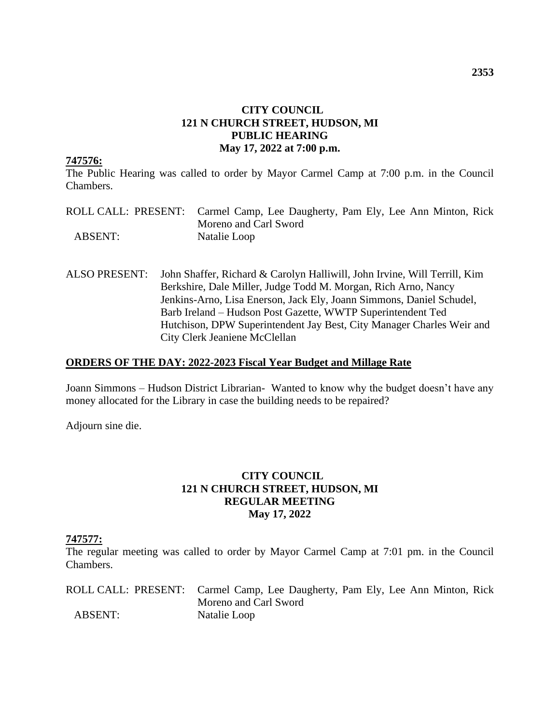#### **CITY COUNCIL 121 N CHURCH STREET, HUDSON, MI PUBLIC HEARING May 17, 2022 at 7:00 p.m.**

#### **747576:**

The Public Hearing was called to order by Mayor Carmel Camp at 7:00 p.m. in the Council Chambers.

|                | ROLL CALL: PRESENT: Carmel Camp, Lee Daugherty, Pam Ely, Lee Ann Minton, Rick |
|----------------|-------------------------------------------------------------------------------|
|                | Moreno and Carl Sword                                                         |
| <b>ABSENT:</b> | Natalie Loop                                                                  |

ALSO PRESENT: John Shaffer, Richard & Carolyn Halliwill, John Irvine, Will Terrill, Kim Berkshire, Dale Miller, Judge Todd M. Morgan, Rich Arno, Nancy Jenkins-Arno, Lisa Enerson, Jack Ely, Joann Simmons, Daniel Schudel, Barb Ireland – Hudson Post Gazette, WWTP Superintendent Ted Hutchison, DPW Superintendent Jay Best, City Manager Charles Weir and City Clerk Jeaniene McClellan

#### **ORDERS OF THE DAY: 2022-2023 Fiscal Year Budget and Millage Rate**

Joann Simmons – Hudson District Librarian- Wanted to know why the budget doesn't have any money allocated for the Library in case the building needs to be repaired?

Adjourn sine die.

### **CITY COUNCIL 121 N CHURCH STREET, HUDSON, MI REGULAR MEETING May 17, 2022**

#### **747577:**

The regular meeting was called to order by Mayor Carmel Camp at 7:01 pm. in the Council Chambers.

|                | ROLL CALL: PRESENT: Carmel Camp, Lee Daugherty, Pam Ely, Lee Ann Minton, Rick |
|----------------|-------------------------------------------------------------------------------|
|                | Moreno and Carl Sword                                                         |
| <b>ABSENT:</b> | Natalie Loop                                                                  |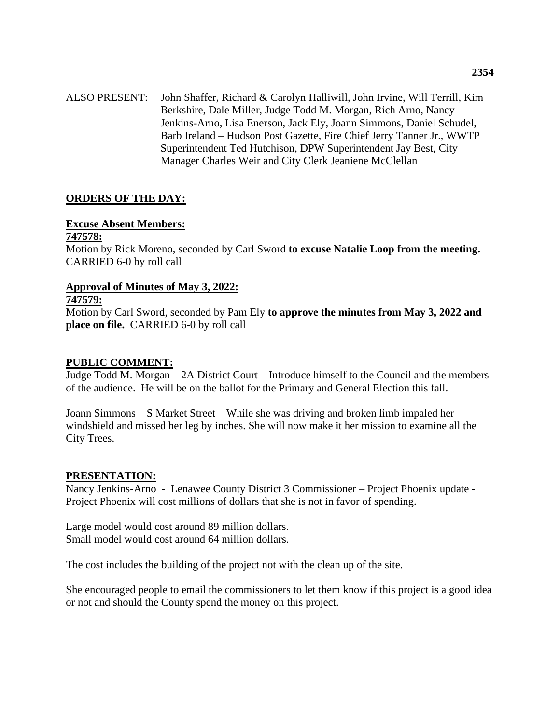ALSO PRESENT: John Shaffer, Richard & Carolyn Halliwill, John Irvine, Will Terrill, Kim Berkshire, Dale Miller, Judge Todd M. Morgan, Rich Arno, Nancy Jenkins-Arno, Lisa Enerson, Jack Ely, Joann Simmons, Daniel Schudel, Barb Ireland – Hudson Post Gazette, Fire Chief Jerry Tanner Jr., WWTP Superintendent Ted Hutchison, DPW Superintendent Jay Best, City Manager Charles Weir and City Clerk Jeaniene McClellan

# **ORDERS OF THE DAY:**

#### **Excuse Absent Members:**

#### **747578:**

Motion by Rick Moreno, seconded by Carl Sword **to excuse Natalie Loop from the meeting.**  CARRIED 6-0 by roll call

#### **Approval of Minutes of May 3, 2022:**

#### **747579:**

Motion by Carl Sword, seconded by Pam Ely **to approve the minutes from May 3, 2022 and place on file.** CARRIED 6-0 by roll call

#### **PUBLIC COMMENT:**

Judge Todd M. Morgan – 2A District Court – Introduce himself to the Council and the members of the audience. He will be on the ballot for the Primary and General Election this fall.

Joann Simmons – S Market Street – While she was driving and broken limb impaled her windshield and missed her leg by inches. She will now make it her mission to examine all the City Trees.

#### **PRESENTATION:**

Nancy Jenkins-Arno - Lenawee County District 3 Commissioner – Project Phoenix update - Project Phoenix will cost millions of dollars that she is not in favor of spending.

Large model would cost around 89 million dollars. Small model would cost around 64 million dollars.

The cost includes the building of the project not with the clean up of the site.

She encouraged people to email the commissioners to let them know if this project is a good idea or not and should the County spend the money on this project.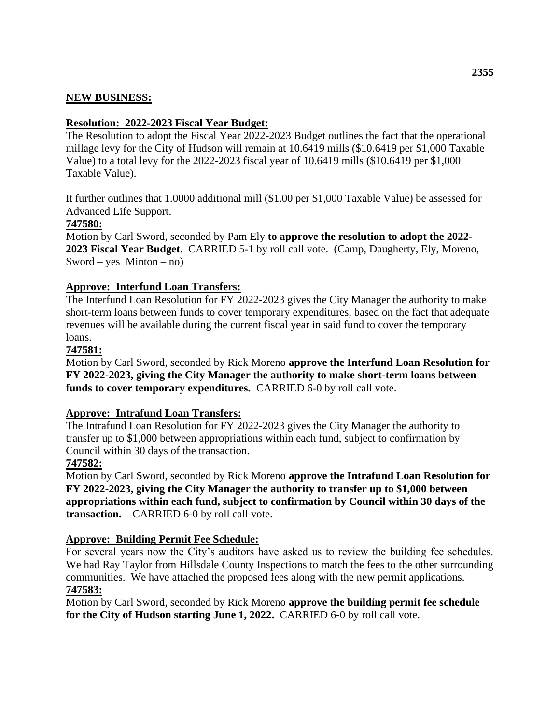# **NEW BUSINESS:**

# **Resolution: 2022-2023 Fiscal Year Budget:**

The Resolution to adopt the Fiscal Year 2022-2023 Budget outlines the fact that the operational millage levy for the City of Hudson will remain at 10.6419 mills (\$10.6419 per \$1,000 Taxable Value) to a total levy for the 2022-2023 fiscal year of 10.6419 mills (\$10.6419 per \$1,000 Taxable Value).

It further outlines that 1.0000 additional mill (\$1.00 per \$1,000 Taxable Value) be assessed for Advanced Life Support.

# **747580:**

Motion by Carl Sword, seconded by Pam Ely **to approve the resolution to adopt the 2022- 2023 Fiscal Year Budget.** CARRIED 5-1 by roll call vote. (Camp, Daugherty, Ely, Moreno, Sword – yes Minton – no)

# **Approve: Interfund Loan Transfers:**

The Interfund Loan Resolution for FY 2022-2023 gives the City Manager the authority to make short-term loans between funds to cover temporary expenditures, based on the fact that adequate revenues will be available during the current fiscal year in said fund to cover the temporary loans.

### **747581:**

Motion by Carl Sword, seconded by Rick Moreno **approve the Interfund Loan Resolution for FY 2022-2023, giving the City Manager the authority to make short-term loans between funds to cover temporary expenditures.** CARRIED 6-0 by roll call vote.

# **Approve: Intrafund Loan Transfers:**

The Intrafund Loan Resolution for FY 2022-2023 gives the City Manager the authority to transfer up to \$1,000 between appropriations within each fund, subject to confirmation by Council within 30 days of the transaction.

#### **747582:**

Motion by Carl Sword, seconded by Rick Moreno **approve the Intrafund Loan Resolution for FY 2022-2023, giving the City Manager the authority to transfer up to \$1,000 between appropriations within each fund, subject to confirmation by Council within 30 days of the transaction.** CARRIED 6-0 by roll call vote.

# **Approve: Building Permit Fee Schedule:**

For several years now the City's auditors have asked us to review the building fee schedules. We had Ray Taylor from Hillsdale County Inspections to match the fees to the other surrounding communities. We have attached the proposed fees along with the new permit applications. **747583:**

Motion by Carl Sword, seconded by Rick Moreno **approve the building permit fee schedule for the City of Hudson starting June 1, 2022.** CARRIED 6-0 by roll call vote.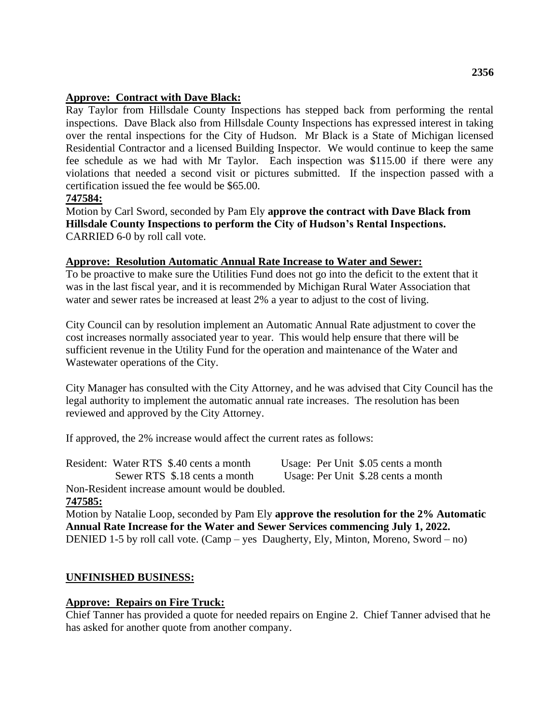#### **Approve: Contract with Dave Black:**

Ray Taylor from Hillsdale County Inspections has stepped back from performing the rental inspections. Dave Black also from Hillsdale County Inspections has expressed interest in taking over the rental inspections for the City of Hudson. Mr Black is a State of Michigan licensed Residential Contractor and a licensed Building Inspector. We would continue to keep the same fee schedule as we had with Mr Taylor. Each inspection was \$115.00 if there were any violations that needed a second visit or pictures submitted. If the inspection passed with a certification issued the fee would be \$65.00.

### **747584:**

Motion by Carl Sword, seconded by Pam Ely **approve the contract with Dave Black from Hillsdale County Inspections to perform the City of Hudson's Rental Inspections.**  CARRIED 6-0 by roll call vote.

#### **Approve: Resolution Automatic Annual Rate Increase to Water and Sewer:**

To be proactive to make sure the Utilities Fund does not go into the deficit to the extent that it was in the last fiscal year, and it is recommended by Michigan Rural Water Association that water and sewer rates be increased at least 2% a year to adjust to the cost of living.

City Council can by resolution implement an Automatic Annual Rate adjustment to cover the cost increases normally associated year to year. This would help ensure that there will be sufficient revenue in the Utility Fund for the operation and maintenance of the Water and Wastewater operations of the City.

City Manager has consulted with the City Attorney, and he was advised that City Council has the legal authority to implement the automatic annual rate increases. The resolution has been reviewed and approved by the City Attorney.

If approved, the 2% increase would affect the current rates as follows:

| Resident: Water RTS \$.40 cents a month        |  | Usage: Per Unit \$.05 cents a month |  |
|------------------------------------------------|--|-------------------------------------|--|
| Sewer RTS \$.18 cents a month                  |  | Usage: Per Unit \$.28 cents a month |  |
| Non-Resident increase amount would be doubled. |  |                                     |  |

#### **747585:**

Motion by Natalie Loop, seconded by Pam Ely **approve the resolution for the 2% Automatic Annual Rate Increase for the Water and Sewer Services commencing July 1, 2022.**  DENIED 1-5 by roll call vote. (Camp – yes Daugherty, Ely, Minton, Moreno, Sword – no)

# **UNFINISHED BUSINESS:**

#### **Approve: Repairs on Fire Truck:**

Chief Tanner has provided a quote for needed repairs on Engine 2. Chief Tanner advised that he has asked for another quote from another company.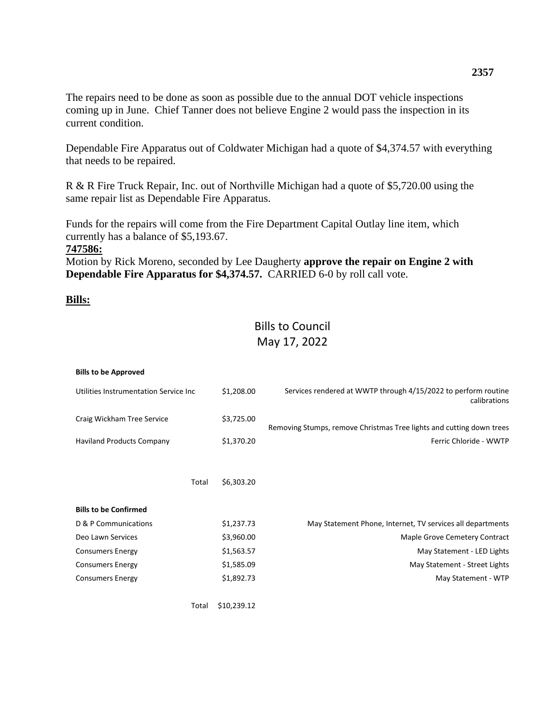The repairs need to be done as soon as possible due to the annual DOT vehicle inspections coming up in June. Chief Tanner does not believe Engine 2 would pass the inspection in its current condition.

Dependable Fire Apparatus out of Coldwater Michigan had a quote of \$4,374.57 with everything that needs to be repaired.

R & R Fire Truck Repair, Inc. out of Northville Michigan had a quote of \$5,720.00 using the same repair list as Dependable Fire Apparatus.

Funds for the repairs will come from the Fire Department Capital Outlay line item, which currently has a balance of \$5,193.67.

#### **747586:**

Motion by Rick Moreno, seconded by Lee Daugherty **approve the repair on Engine 2 with Dependable Fire Apparatus for \$4,374.57.** CARRIED 6-0 by roll call vote.

#### **Bills:**

# Bills to Council May 17, 2022

| <b>Bills to be Approved</b>           |             |                                                                                |
|---------------------------------------|-------------|--------------------------------------------------------------------------------|
| Utilities Instrumentation Service Inc | \$1,208.00  | Services rendered at WWTP through 4/15/2022 to perform routine<br>calibrations |
| Craig Wickham Tree Service            | \$3,725.00  | Removing Stumps, remove Christmas Tree lights and cutting down trees           |
| <b>Haviland Products Company</b>      | \$1,370.20  | Ferric Chloride - WWTP                                                         |
|                                       |             |                                                                                |
| Total                                 | \$6,303.20  |                                                                                |
| <b>Bills to be Confirmed</b>          |             |                                                                                |
| D & P Communications                  | \$1,237.73  | May Statement Phone, Internet, TV services all departments                     |
| Deo Lawn Services                     | \$3,960.00  | Maple Grove Cemetery Contract                                                  |
| <b>Consumers Energy</b>               | \$1,563.57  | May Statement - LED Lights                                                     |
| <b>Consumers Energy</b>               | \$1,585.09  | May Statement - Street Lights                                                  |
| <b>Consumers Energy</b>               | \$1,892.73  | May Statement - WTP                                                            |
| Total                                 | \$10.239.12 |                                                                                |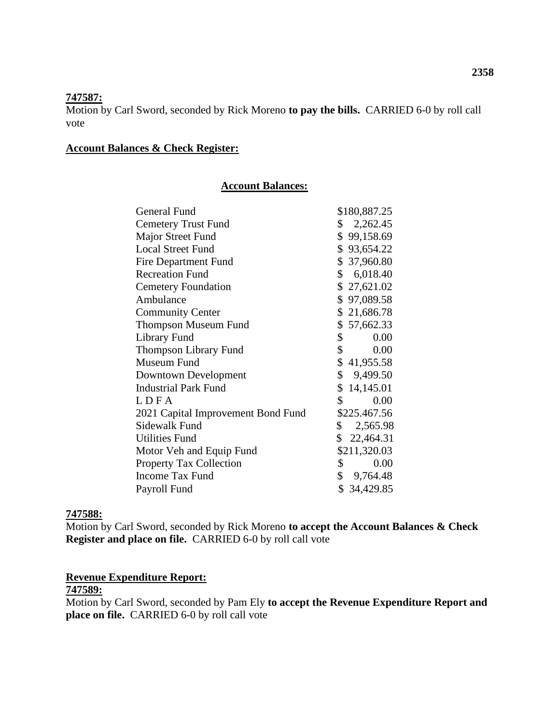#### **747587:**

Motion by Carl Sword, seconded by Rick Moreno **to pay the bills.** CARRIED 6-0 by roll call vote

#### **Account Balances & Check Register:**

#### **Account Balances:**

| General Fund                       | \$180,887.25         |
|------------------------------------|----------------------|
| <b>Cemetery Trust Fund</b>         | \$2,262.45           |
| Major Street Fund                  | \$99,158.69          |
| <b>Local Street Fund</b>           | \$93,654.22          |
| <b>Fire Department Fund</b>        | \$37,960.80          |
| <b>Recreation Fund</b>             | \$6,018.40           |
| <b>Cemetery Foundation</b>         | \$27,621.02          |
| Ambulance                          | \$97,089.58          |
| <b>Community Center</b>            | \$21,686.78          |
| <b>Thompson Museum Fund</b>        | \$57,662.33          |
| Library Fund                       | $\mathbb{S}$<br>0.00 |
| <b>Thompson Library Fund</b>       | $\mathbb{S}$<br>0.00 |
| Museum Fund                        | \$41,955.58          |
| Downtown Development               | \$9,499.50           |
| <b>Industrial Park Fund</b>        | \$14,145.01          |
| LDFA                               | $\mathbb{S}$<br>0.00 |
| 2021 Capital Improvement Bond Fund | \$225.467.56         |
| Sidewalk Fund                      | \$2,565.98           |
| <b>Utilities Fund</b>              | \$22,464.31          |
| Motor Veh and Equip Fund           | \$211,320.03         |
| <b>Property Tax Collection</b>     | 0.00<br>\$           |
| <b>Income Tax Fund</b>             | \$9,764.48           |
| Payroll Fund                       | \$34,429.85          |
|                                    |                      |

#### **747588:**

Motion by Carl Sword, seconded by Rick Moreno **to accept the Account Balances & Check Register and place on file.** CARRIED 6-0 by roll call vote

# **Revenue Expenditure Report:**

# **747589:**

Motion by Carl Sword, seconded by Pam Ely **to accept the Revenue Expenditure Report and place on file.** CARRIED 6-0 by roll call vote